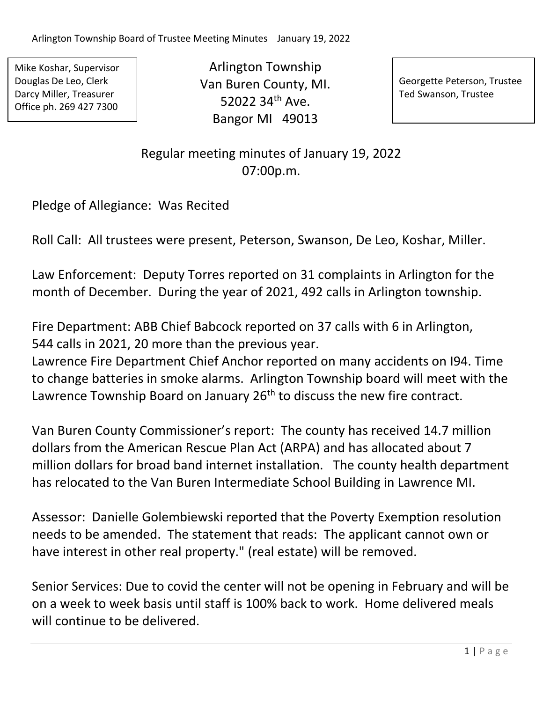Mike Koshar, Supervisor Douglas De Leo, Clerk Darcy Miller, Treasurer Office ph. 269 427 7300

Arlington Township Van Buren County, MI. 52022 34th Ave. Bangor MI 49013

Georgette Peterson, Trustee Ted Swanson, Trustee

Regular meeting minutes of January 19, 2022 07:00p.m.

Pledge of Allegiance: Was Recited

Roll Call: All trustees were present, Peterson, Swanson, De Leo, Koshar, Miller.

Law Enforcement: Deputy Torres reported on 31 complaints in Arlington for the month of December. During the year of 2021, 492 calls in Arlington township.

Fire Department: ABB Chief Babcock reported on 37 calls with 6 in Arlington, 544 calls in 2021, 20 more than the previous year.

Lawrence Fire Department Chief Anchor reported on many accidents on I94. Time to change batteries in smoke alarms. Arlington Township board will meet with the Lawrence Township Board on January 26<sup>th</sup> to discuss the new fire contract.

Van Buren County Commissioner's report: The county has received 14.7 million dollars from the American Rescue Plan Act (ARPA) and has allocated about 7 million dollars for broad band internet installation. The county health department has relocated to the Van Buren Intermediate School Building in Lawrence MI.

Assessor: Danielle Golembiewski reported that the Poverty Exemption resolution needs to be amended. The statement that reads: The applicant cannot own or have interest in other real property." (real estate) will be removed.

Senior Services: Due to covid the center will not be opening in February and will be on a week to week basis until staff is 100% back to work. Home delivered meals will continue to be delivered.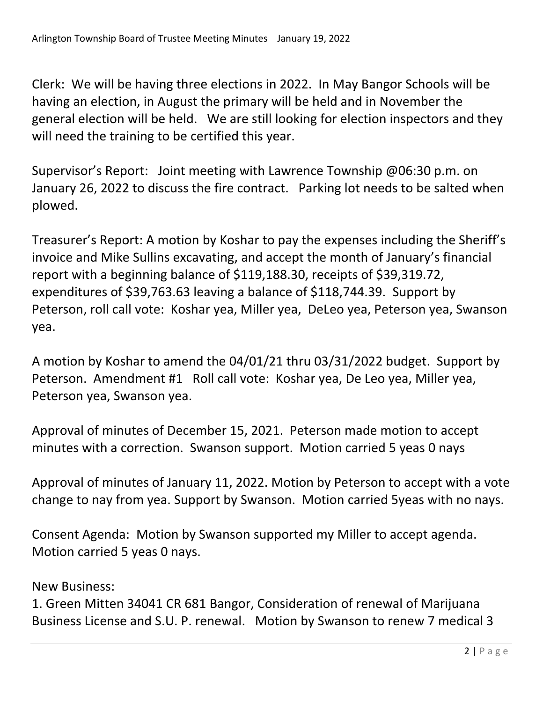Clerk: We will be having three elections in 2022. In May Bangor Schools will be having an election, in August the primary will be held and in November the general election will be held. We are still looking for election inspectors and they will need the training to be certified this year.

Supervisor's Report: Joint meeting with Lawrence Township @06:30 p.m. on January 26, 2022 to discuss the fire contract. Parking lot needs to be salted when plowed.

Treasurer's Report: A motion by Koshar to pay the expenses including the Sheriff's invoice and Mike Sullins excavating, and accept the month of January's financial report with a beginning balance of \$119,188.30, receipts of \$39,319.72, expenditures of \$39,763.63 leaving a balance of \$118,744.39. Support by Peterson, roll call vote: Koshar yea, Miller yea, DeLeo yea, Peterson yea, Swanson yea.

A motion by Koshar to amend the 04/01/21 thru 03/31/2022 budget. Support by Peterson. Amendment #1 Roll call vote: Koshar yea, De Leo yea, Miller yea, Peterson yea, Swanson yea.

Approval of minutes of December 15, 2021. Peterson made motion to accept minutes with a correction. Swanson support. Motion carried 5 yeas 0 nays

Approval of minutes of January 11, 2022. Motion by Peterson to accept with a vote change to nay from yea. Support by Swanson. Motion carried 5yeas with no nays.

Consent Agenda: Motion by Swanson supported my Miller to accept agenda. Motion carried 5 yeas 0 nays.

New Business:

1. Green Mitten 34041 CR 681 Bangor, Consideration of renewal of Marijuana Business License and S.U. P. renewal. Motion by Swanson to renew 7 medical 3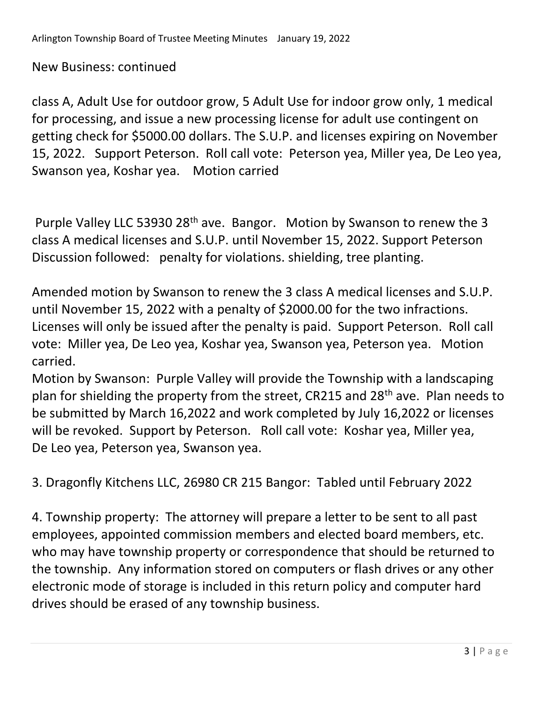## New Business: continued

class A, Adult Use for outdoor grow, 5 Adult Use for indoor grow only, 1 medical for processing, and issue a new processing license for adult use contingent on getting check for \$5000.00 dollars. The S.U.P. and licenses expiring on November 15, 2022. Support Peterson. Roll call vote: Peterson yea, Miller yea, De Leo yea, Swanson yea, Koshar yea. Motion carried

Purple Valley LLC 53930 28<sup>th</sup> ave. Bangor. Motion by Swanson to renew the 3 class A medical licenses and S.U.P. until November 15, 2022. Support Peterson Discussion followed: penalty for violations. shielding, tree planting.

Amended motion by Swanson to renew the 3 class A medical licenses and S.U.P. until November 15, 2022 with a penalty of \$2000.00 for the two infractions. Licenses will only be issued after the penalty is paid. Support Peterson. Roll call vote: Miller yea, De Leo yea, Koshar yea, Swanson yea, Peterson yea. Motion carried.

Motion by Swanson: Purple Valley will provide the Township with a landscaping plan for shielding the property from the street, CR215 and 28<sup>th</sup> ave. Plan needs to be submitted by March 16,2022 and work completed by July 16,2022 or licenses will be revoked. Support by Peterson. Roll call vote: Koshar yea, Miller yea, De Leo yea, Peterson yea, Swanson yea.

3. Dragonfly Kitchens LLC, 26980 CR 215 Bangor: Tabled until February 2022

4. Township property: The attorney will prepare a letter to be sent to all past employees, appointed commission members and elected board members, etc. who may have township property or correspondence that should be returned to the township. Any information stored on computers or flash drives or any other electronic mode of storage is included in this return policy and computer hard drives should be erased of any township business.